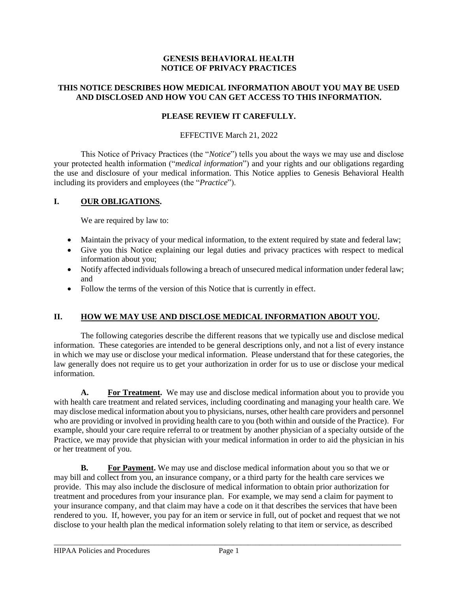#### **GENESIS BEHAVIORAL HEALTH NOTICE OF PRIVACY PRACTICES**

### **THIS NOTICE DESCRIBES HOW MEDICAL INFORMATION ABOUT YOU MAY BE USED AND DISCLOSED AND HOW YOU CAN GET ACCESS TO THIS INFORMATION.**

### **PLEASE REVIEW IT CAREFULLY.**

#### EFFECTIVE March 21, 2022

This Notice of Privacy Practices (the "*Notice*") tells you about the ways we may use and disclose your protected health information ("*medical information*") and your rights and our obligations regarding the use and disclosure of your medical information. This Notice applies to Genesis Behavioral Health including its providers and employees (the "*Practice*").

### **I. OUR OBLIGATIONS.**

We are required by law to:

- Maintain the privacy of your medical information, to the extent required by state and federal law;
- Give you this Notice explaining our legal duties and privacy practices with respect to medical information about you;
- Notify affected individuals following a breach of unsecured medical information under federal law; and
- Follow the terms of the version of this Notice that is currently in effect.

## **II. HOW WE MAY USE AND DISCLOSE MEDICAL INFORMATION ABOUT YOU.**

The following categories describe the different reasons that we typically use and disclose medical information. These categories are intended to be general descriptions only, and not a list of every instance in which we may use or disclose your medical information. Please understand that for these categories, the law generally does not require us to get your authorization in order for us to use or disclose your medical information.

**A. For Treatment.** We may use and disclose medical information about you to provide you with health care treatment and related services, including coordinating and managing your health care. We may disclose medical information about you to physicians, nurses, other health care providers and personnel who are providing or involved in providing health care to you (both within and outside of the Practice). For example, should your care require referral to or treatment by another physician of a specialty outside of the Practice, we may provide that physician with your medical information in order to aid the physician in his or her treatment of you.

**B. For Payment.** We may use and disclose medical information about you so that we or may bill and collect from you, an insurance company, or a third party for the health care services we provide. This may also include the disclosure of medical information to obtain prior authorization for treatment and procedures from your insurance plan. For example, we may send a claim for payment to your insurance company, and that claim may have a code on it that describes the services that have been rendered to you. If, however, you pay for an item or service in full, out of pocket and request that we not disclose to your health plan the medical information solely relating to that item or service, as described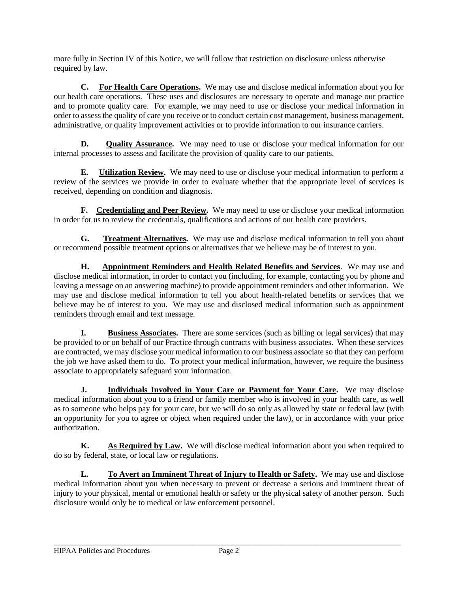more fully in Section IV of this Notice, we will follow that restriction on disclosure unless otherwise required by law.

**C. For Health Care Operations.** We may use and disclose medical information about you for our health care operations. These uses and disclosures are necessary to operate and manage our practice and to promote quality care. For example, we may need to use or disclose your medical information in order to assess the quality of care you receive or to conduct certain cost management, business management, administrative, or quality improvement activities or to provide information to our insurance carriers.

**D. Quality Assurance.** We may need to use or disclose your medical information for our internal processes to assess and facilitate the provision of quality care to our patients.

**E. Utilization Review.** We may need to use or disclose your medical information to perform a review of the services we provide in order to evaluate whether that the appropriate level of services is received, depending on condition and diagnosis.

**F. Credentialing and Peer Review.** We may need to use or disclose your medical information in order for us to review the credentials, qualifications and actions of our health care providers.

**G. Treatment Alternatives.** We may use and disclose medical information to tell you about or recommend possible treatment options or alternatives that we believe may be of interest to you.

**H. Appointment Reminders and Health Related Benefits and Services**. We may use and disclose medical information, in order to contact you (including, for example, contacting you by phone and leaving a message on an answering machine) to provide appointment reminders and other information.We may use and disclose medical information to tell you about health-related benefits or services that we believe may be of interest to you. We may use and disclosed medical information such as appointment reminders through email and text message.

**I. Business Associates.**There are some services (such as billing or legal services) that may be provided to or on behalf of our Practice through contracts with business associates. When these services are contracted, we may disclose your medical information to our business associate so that they can perform the job we have asked them to do. To protect your medical information, however, we require the business associate to appropriately safeguard your information.

**J. Individuals Involved in Your Care or Payment for Your Care.** We may disclose medical information about you to a friend or family member who is involved in your health care, as well as to someone who helps pay for your care, but we will do so only as allowed by state or federal law (with an opportunity for you to agree or object when required under the law), or in accordance with your prior authorization.

**K. As Required by Law.** We will disclose medical information about you when required to do so by federal, state, or local law or regulations.

**L. To Avert an Imminent Threat of Injury to Health or Safety.** We may use and disclose medical information about you when necessary to prevent or decrease a serious and imminent threat of injury to your physical, mental or emotional health or safety or the physical safety of another person. Such disclosure would only be to medical or law enforcement personnel.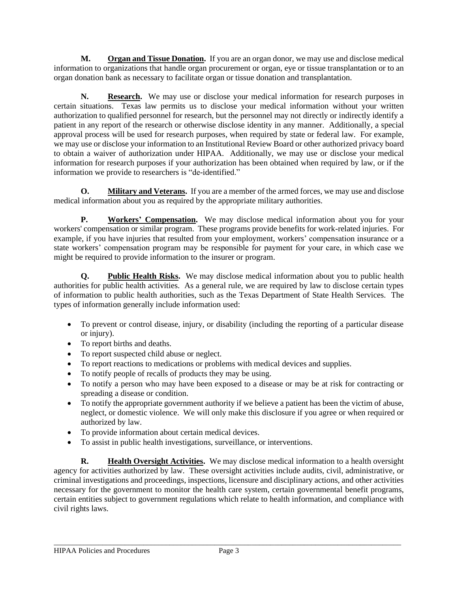**M. Organ and Tissue Donation.** If you are an organ donor, we may use and disclose medical information to organizations that handle organ procurement or organ, eye or tissue transplantation or to an organ donation bank as necessary to facilitate organ or tissue donation and transplantation.

**N. Research.** We may use or disclose your medical information for research purposes in certain situations. Texas law permits us to disclose your medical information without your written authorization to qualified personnel for research, but the personnel may not directly or indirectly identify a patient in any report of the research or otherwise disclose identity in any manner. Additionally, a special approval process will be used for research purposes, when required by state or federal law. For example, we may use or disclose your information to an Institutional Review Board or other authorized privacy board to obtain a waiver of authorization under HIPAA. Additionally, we may use or disclose your medical information for research purposes if your authorization has been obtained when required by law, or if the information we provide to researchers is "de-identified."

**O. Military and Veterans.** If you are a member of the armed forces, we may use and disclose medical information about you as required by the appropriate military authorities.

**P. Workers' Compensation.** We may disclose medical information about you for your workers' compensation or similar program. These programs provide benefits for work-related injuries.For example, if you have injuries that resulted from your employment, workers' compensation insurance or a state workers' compensation program may be responsible for payment for your care, in which case we might be required to provide information to the insurer or program.

**Q. Public Health Risks.** We may disclose medical information about you to public health authorities for public health activities. As a general rule, we are required by law to disclose certain types of information to public health authorities, such as the Texas Department of State Health Services. The types of information generally include information used:

- To prevent or control disease, injury, or disability (including the reporting of a particular disease or injury).
- To report births and deaths.
- To report suspected child abuse or neglect.
- To report reactions to medications or problems with medical devices and supplies.
- To notify people of recalls of products they may be using.
- To notify a person who may have been exposed to a disease or may be at risk for contracting or spreading a disease or condition.
- To notify the appropriate government authority if we believe a patient has been the victim of abuse, neglect, or domestic violence. We will only make this disclosure if you agree or when required or authorized by law.
- To provide information about certain medical devices.
- To assist in public health investigations, surveillance, or interventions.

**R. Health Oversight Activities.** We may disclose medical information to a health oversight agency for activities authorized by law. These oversight activities include audits, civil, administrative, or criminal investigations and proceedings, inspections, licensure and disciplinary actions, and other activities necessary for the government to monitor the health care system, certain governmental benefit programs, certain entities subject to government regulations which relate to health information, and compliance with civil rights laws.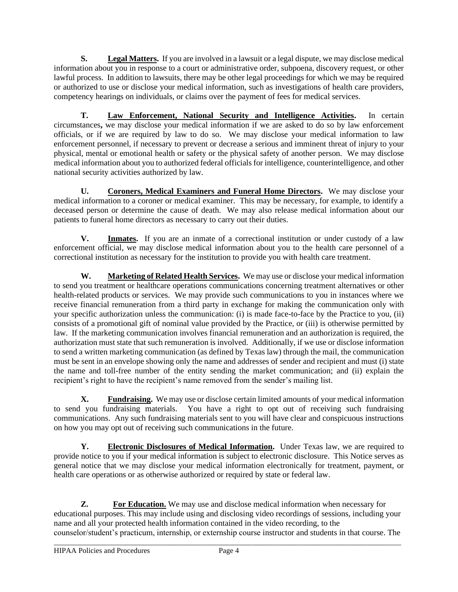**S. Legal Matters.** If you are involved in a lawsuit or a legal dispute, we may disclose medical information about you in response to a court or administrative order, subpoena, discovery request, or other lawful process. In addition to lawsuits, there may be other legal proceedings for which we may be required or authorized to use or disclose your medical information, such as investigations of health care providers, competency hearings on individuals, or claims over the payment of fees for medical services.

**T. Law Enforcement, National Security and Intelligence Activities.** In certain circumstances**,** we may disclose your medical information if we are asked to do so by law enforcement officials, or if we are required by law to do so. We may disclose your medical information to law enforcement personnel, if necessary to prevent or decrease a serious and imminent threat of injury to your physical, mental or emotional health or safety or the physical safety of another person. We may disclose medical information about you to authorized federal officials for intelligence, counterintelligence, and other national security activities authorized by law.

**U. Coroners, Medical Examiners and Funeral Home Directors.** We may disclose your medical information to a coroner or medical examiner. This may be necessary, for example, to identify a deceased person or determine the cause of death. We may also release medical information about our patients to funeral home directors as necessary to carry out their duties.

**V. Inmates.** If you are an inmate of a correctional institution or under custody of a law enforcement official, we may disclose medical information about you to the health care personnel of a correctional institution as necessary for the institution to provide you with health care treatment.

**W. Marketing of Related Health Services.** We may use or disclose your medical information to send you treatment or healthcare operations communications concerning treatment alternatives or other health-related products or services. We may provide such communications to you in instances where we receive financial remuneration from a third party in exchange for making the communication only with your specific authorization unless the communication: (i) is made face-to-face by the Practice to you, (ii) consists of a promotional gift of nominal value provided by the Practice, or (iii) is otherwise permitted by law. If the marketing communication involves financial remuneration and an authorization is required, the authorization must state that such remuneration is involved. Additionally, if we use or disclose information to send a written marketing communication (as defined by Texas law) through the mail, the communication must be sent in an envelope showing only the name and addresses of sender and recipient and must (i) state the name and toll-free number of the entity sending the market communication; and (ii) explain the recipient's right to have the recipient's name removed from the sender's mailing list.

**X. Fundraising.** We may use or disclose certain limited amounts of your medical information to send you fundraising materials. You have a right to opt out of receiving such fundraising communications. Any such fundraising materials sent to you will have clear and conspicuous instructions on how you may opt out of receiving such communications in the future.

**Y.** Electronic Disclosures of Medical Information. Under Texas law, we are required to provide notice to you if your medical information is subject to electronic disclosure. This Notice serves as general notice that we may disclose your medical information electronically for treatment, payment, or health care operations or as otherwise authorized or required by state or federal law.

 $\_$  ,  $\_$  ,  $\_$  ,  $\_$  ,  $\_$  ,  $\_$  ,  $\_$  ,  $\_$  ,  $\_$  ,  $\_$  ,  $\_$  ,  $\_$  ,  $\_$  ,  $\_$  ,  $\_$  ,  $\_$  ,  $\_$  ,  $\_$  ,  $\_$  ,  $\_$  ,  $\_$  ,  $\_$  ,  $\_$  ,  $\_$  ,  $\_$  ,  $\_$  ,  $\_$  ,  $\_$  ,  $\_$  ,  $\_$  ,  $\_$  ,  $\_$  ,  $\_$  ,  $\_$  ,  $\_$  ,  $\_$  ,  $\_$  , **Z. For Education.** We may use and disclose medical information when necessary for educational purposes. This may include using and disclosing video recordings of sessions, including your name and all your protected health information contained in the video recording, to the counselor/student's practicum, internship, or externship course instructor and students in that course. The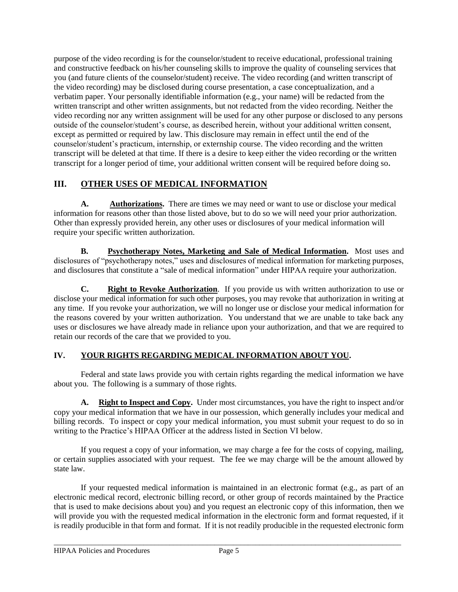purpose of the video recording is for the counselor/student to receive educational, professional training and constructive feedback on his/her counseling skills to improve the quality of counseling services that you (and future clients of the counselor/student) receive. The video recording (and written transcript of the video recording) may be disclosed during course presentation, a case conceptualization, and a verbatim paper. Your personally identifiable information (e.g., your name) will be redacted from the written transcript and other written assignments, but not redacted from the video recording. Neither the video recording nor any written assignment will be used for any other purpose or disclosed to any persons outside of the counselor/student's course, as described herein, without your additional written consent, except as permitted or required by law. This disclosure may remain in effect until the end of the counselor/student's practicum, internship, or externship course. The video recording and the written transcript will be deleted at that time. If there is a desire to keep either the video recording or the written transcript for a longer period of time, your additional written consent will be required before doing so.

# **III. OTHER USES OF MEDICAL INFORMATION**

**A. Authorizations.** There are times we may need or want to use or disclose your medical information for reasons other than those listed above, but to do so we will need your prior authorization. Other than expressly provided herein, any other uses or disclosures of your medical information will require your specific written authorization.

**B. Psychotherapy Notes, Marketing and Sale of Medical Information.** Most uses and disclosures of "psychotherapy notes," uses and disclosures of medical information for marketing purposes, and disclosures that constitute a "sale of medical information" under HIPAA require your authorization.

**C. Right to Revoke Authorization**. If you provide us with written authorization to use or disclose your medical information for such other purposes, you may revoke that authorization in writing at any time. If you revoke your authorization, we will no longer use or disclose your medical information for the reasons covered by your written authorization. You understand that we are unable to take back any uses or disclosures we have already made in reliance upon your authorization, and that we are required to retain our records of the care that we provided to you.

# **IV. YOUR RIGHTS REGARDING MEDICAL INFORMATION ABOUT YOU.**

Federal and state laws provide you with certain rights regarding the medical information we have about you. The following is a summary of those rights.

**A. Right to Inspect and Copy.** Under most circumstances, you have the right to inspect and/or copy your medical information that we have in our possession, which generally includes your medical and billing records. To inspect or copy your medical information, you must submit your request to do so in writing to the Practice's HIPAA Officer at the address listed in Section VI below.

If you request a copy of your information, we may charge a fee for the costs of copying, mailing, or certain supplies associated with your request. The fee we may charge will be the amount allowed by state law.

If your requested medical information is maintained in an electronic format (e.g., as part of an electronic medical record, electronic billing record, or other group of records maintained by the Practice that is used to make decisions about you) and you request an electronic copy of this information, then we will provide you with the requested medical information in the electronic form and format requested, if it is readily producible in that form and format. If it is not readily producible in the requested electronic form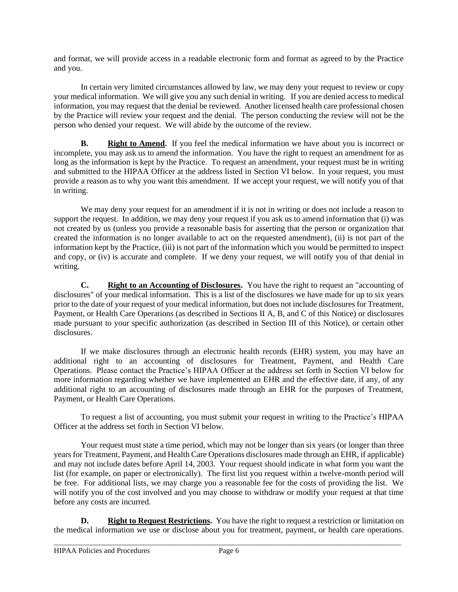and format, we will provide access in a readable electronic form and format as agreed to by the Practice and you.

In certain very limited circumstances allowed by law, we may deny your request to review or copy your medical information. We will give you any such denial in writing. If you are denied access to medical information, you may request that the denial be reviewed. Another licensed health care professional chosen by the Practice will review your request and the denial. The person conducting the review will not be the person who denied your request. We will abide by the outcome of the review.

**B.** Right to Amend. If you feel the medical information we have about you is incorrect or incomplete, you may ask us to amend the information. You have the right to request an amendment for as long as the information is kept by the Practice. To request an amendment, your request must be in writing and submitted to the HIPAA Officer at the address listed in Section VI below. In your request, you must provide a reason as to why you want this amendment. If we accept your request, we will notify you of that in writing.

We may deny your request for an amendment if it is not in writing or does not include a reason to support the request. In addition, we may deny your request if you ask us to amend information that (i) was not created by us (unless you provide a reasonable basis for asserting that the person or organization that created the information is no longer available to act on the requested amendment), (ii) is not part of the information kept by the Practice, (iii) is not part of the information which you would be permitted to inspect and copy, or (iv) is accurate and complete. If we deny your request, we will notify you of that denial in writing.

**C. Right to an Accounting of Disclosures.** You have the right to request an "accounting of disclosures" of your medical information. This is a list of the disclosures we have made for up to six years prior to the date of your request of your medical information, but does not include disclosures for Treatment, Payment, or Health Care Operations (as described in Sections II A, B, and C of this Notice) or disclosures made pursuant to your specific authorization (as described in Section III of this Notice), or certain other disclosures.

If we make disclosures through an electronic health records (EHR) system, you may have an additional right to an accounting of disclosures for Treatment, Payment, and Health Care Operations. Please contact the Practice's HIPAA Officer at the address set forth in Section VI below for more information regarding whether we have implemented an EHR and the effective date, if any, of any additional right to an accounting of disclosures made through an EHR for the purposes of Treatment, Payment, or Health Care Operations.

To request a list of accounting, you must submit your request in writing to the Practice's HIPAA Officer at the address set forth in Section VI below.

Your request must state a time period, which may not be longer than six years (or longer than three years for Treatment, Payment, and Health Care Operations disclosures made through an EHR, if applicable) and may not include dates before April 14, 2003. Your request should indicate in what form you want the list (for example, on paper or electronically). The first list you request within a twelve-month period will be free. For additional lists, we may charge you a reasonable fee for the costs of providing the list. We will notify you of the cost involved and you may choose to withdraw or modify your request at that time before any costs are incurred.

**D.** Right to Request Restrictions. You have the right to request a restriction or limitation on the medical information we use or disclose about you for treatment, payment, or health care operations.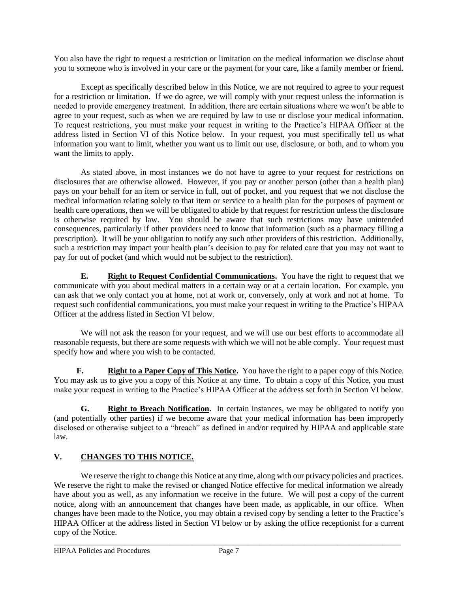You also have the right to request a restriction or limitation on the medical information we disclose about you to someone who is involved in your care or the payment for your care, like a family member or friend.

Except as specifically described below in this Notice, we are not required to agree to your request for a restriction or limitation.If we do agree, we will comply with your request unless the information is needed to provide emergency treatment. In addition, there are certain situations where we won't be able to agree to your request, such as when we are required by law to use or disclose your medical information. To request restrictions, you must make your request in writing to the Practice's HIPAA Officer at the address listed in Section VI of this Notice below. In your request, you must specifically tell us what information you want to limit, whether you want us to limit our use, disclosure, or both, and to whom you want the limits to apply.

As stated above, in most instances we do not have to agree to your request for restrictions on disclosures that are otherwise allowed. However, if you pay or another person (other than a health plan) pays on your behalf for an item or service in full, out of pocket, and you request that we not disclose the medical information relating solely to that item or service to a health plan for the purposes of payment or health care operations, then we will be obligated to abide by that request for restriction unless the disclosure is otherwise required by law. You should be aware that such restrictions may have unintended consequences, particularly if other providers need to know that information (such as a pharmacy filling a prescription). It will be your obligation to notify any such other providers of this restriction. Additionally, such a restriction may impact your health plan's decision to pay for related care that you may not want to pay for out of pocket (and which would not be subject to the restriction).

**E. Right to Request Confidential Communications.** You have the right to request that we communicate with you about medical matters in a certain way or at a certain location. For example, you can ask that we only contact you at home, not at work or, conversely, only at work and not at home. To request such confidential communications, you must make your request in writing to the Practice's HIPAA Officer at the address listed in Section VI below.

We will not ask the reason for your request, and we will use our best efforts to accommodate all reasonable requests, but there are some requests with which we will not be able comply. Your request must specify how and where you wish to be contacted.

 **F. Right to a Paper Copy of This Notice.** You have the right to a paper copy of this Notice. You may ask us to give you a copy of this Notice at any time. To obtain a copy of this Notice, you must make your request in writing to the Practice's HIPAA Officer at the address set forth in Section VI below.

**G. Right to Breach Notification.** In certain instances, we may be obligated to notify you (and potentially other parties) if we become aware that your medical information has been improperly disclosed or otherwise subject to a "breach" as defined in and/or required by HIPAA and applicable state law.

### **V. CHANGES TO THIS NOTICE.**

We reserve the right to change this Notice at any time, along with our privacy policies and practices. We reserve the right to make the revised or changed Notice effective for medical information we already have about you as well, as any information we receive in the future. We will post a copy of the current notice, along with an announcement that changes have been made, as applicable, in our office. When changes have been made to the Notice, you may obtain a revised copy by sending a letter to the Practice's HIPAA Officer at the address listed in Section VI below or by asking the office receptionist for a current copy of the Notice.